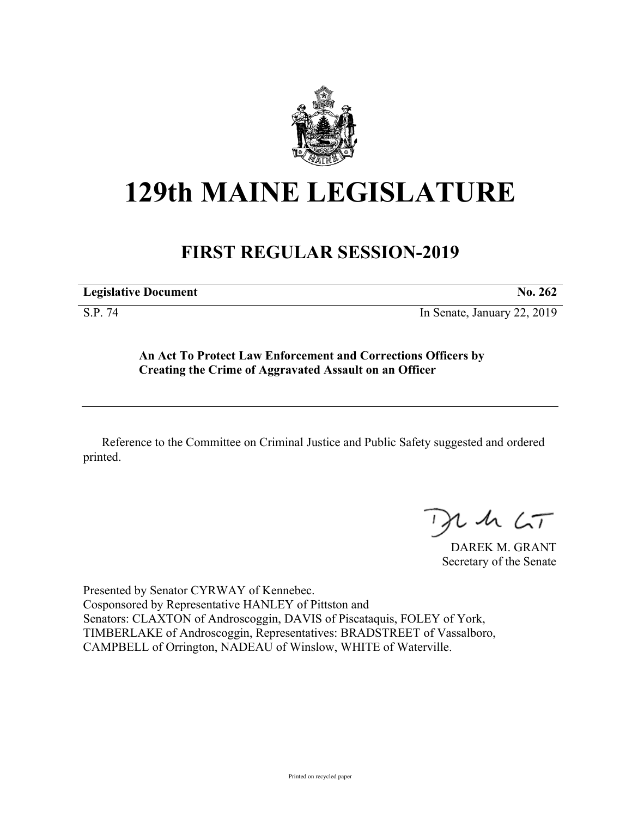

## **129th MAINE LEGISLATURE**

## **FIRST REGULAR SESSION-2019**

**Legislative Document No. 262**

S.P. 74 In Senate, January 22, 2019

**An Act To Protect Law Enforcement and Corrections Officers by Creating the Crime of Aggravated Assault on an Officer**

Reference to the Committee on Criminal Justice and Public Safety suggested and ordered printed.

 $125$ 

DAREK M. GRANT Secretary of the Senate

Presented by Senator CYRWAY of Kennebec. Cosponsored by Representative HANLEY of Pittston and Senators: CLAXTON of Androscoggin, DAVIS of Piscataquis, FOLEY of York, TIMBERLAKE of Androscoggin, Representatives: BRADSTREET of Vassalboro, CAMPBELL of Orrington, NADEAU of Winslow, WHITE of Waterville.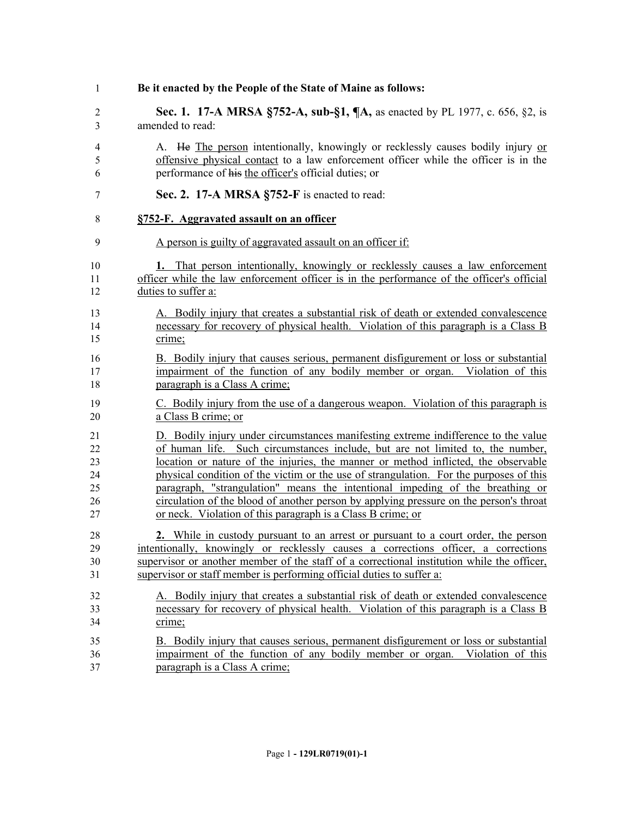**Be it enacted by the People of the State of Maine as follows: Sec. 1. 17-A MRSA §752-A, sub-§1, ¶A,** as enacted by PL 1977, c. 656, §2, is amended to read: A. He The person intentionally, knowingly or recklessly causes bodily injury or offensive physical contact to a law enforcement officer while the officer is in the performance of his the officer's official duties; or **Sec. 2. 17-A MRSA §752-F** is enacted to read: **§752-F. Aggravated assault on an officer** A person is guilty of aggravated assault on an officer if: **1.** That person intentionally, knowingly or recklessly causes a law enforcement officer while the law enforcement officer is in the performance of the officer's official duties to suffer a: A. Bodily injury that creates a substantial risk of death or extended convalescence necessary for recovery of physical health. Violation of this paragraph is a Class B crime; B. Bodily injury that causes serious, permanent disfigurement or loss or substantial impairment of the function of any bodily member or organ. Violation of this paragraph is a Class A crime; C. Bodily injury from the use of a dangerous weapon. Violation of this paragraph is a Class B crime; or D. Bodily injury under circumstances manifesting extreme indifference to the value of human life. Such circumstances include, but are not limited to, the number, location or nature of the injuries, the manner or method inflicted, the observable physical condition of the victim or the use of strangulation. For the purposes of this paragraph, "strangulation" means the intentional impeding of the breathing or circulation of the blood of another person by applying pressure on the person's throat or neck. Violation of this paragraph is a Class B crime; or **2.** While in custody pursuant to an arrest or pursuant to a court order, the person intentionally, knowingly or recklessly causes a corrections officer, a corrections supervisor or another member of the staff of a correctional institution while the officer, supervisor or staff member is performing official duties to suffer a: A. Bodily injury that creates a substantial risk of death or extended convalescence necessary for recovery of physical health. Violation of this paragraph is a Class B crime; B. Bodily injury that causes serious, permanent disfigurement or loss or substantial impairment of the function of any bodily member or organ. Violation of this paragraph is a Class A crime;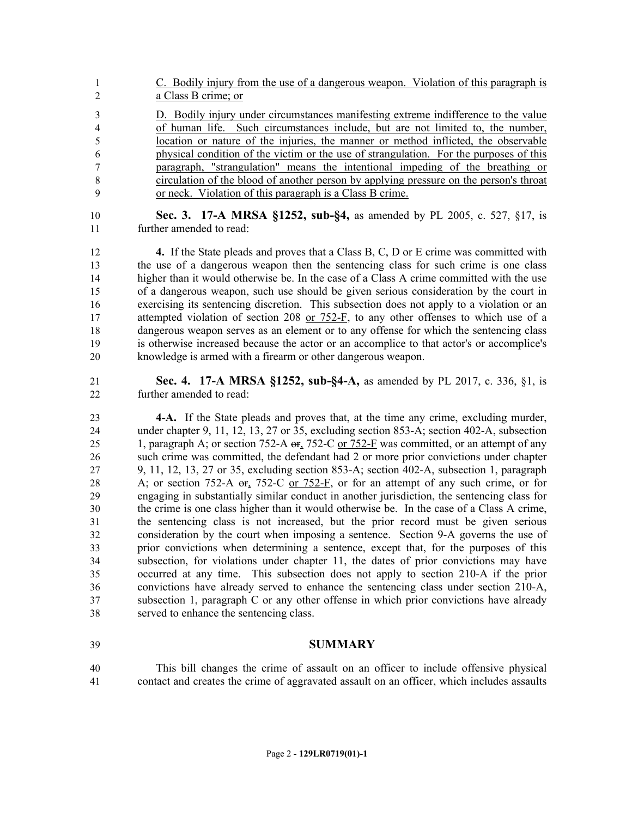C. Bodily injury from the use of a dangerous weapon. Violation of this paragraph is a Class B crime; or D. Bodily injury under circumstances manifesting extreme indifference to the value of human life. Such circumstances include, but are not limited to, the number, location or nature of the injuries, the manner or method inflicted, the observable physical condition of the victim or the use of strangulation. For the purposes of this paragraph, "strangulation" means the intentional impeding of the breathing or circulation of the blood of another person by applying pressure on the person's throat or neck. Violation of this paragraph is a Class B crime.

 **Sec. 3. 17-A MRSA §1252, sub-§4,** as amended by PL 2005, c. 527, §17, is further amended to read:

 **4.** If the State pleads and proves that a Class B, C, D or E crime was committed with the use of a dangerous weapon then the sentencing class for such crime is one class higher than it would otherwise be. In the case of a Class A crime committed with the use of a dangerous weapon, such use should be given serious consideration by the court in exercising its sentencing discretion. This subsection does not apply to a violation or an 17 attempted violation of section 208 or 752-F, to any other offenses to which use of a dangerous weapon serves as an element or to any offense for which the sentencing class is otherwise increased because the actor or an accomplice to that actor's or accomplice's knowledge is armed with a firearm or other dangerous weapon.

 **Sec. 4. 17-A MRSA §1252, sub-§4-A,** as amended by PL 2017, c. 336, §1, is further amended to read:

 **4-A.** If the State pleads and proves that, at the time any crime, excluding murder, under chapter 9, 11, 12, 13, 27 or 35, excluding section 853-A; section 402-A, subsection 25 1, paragraph A; or section 752-A or, 752-C or 752-F was committed, or an attempt of any such crime was committed, the defendant had 2 or more prior convictions under chapter 9, 11, 12, 13, 27 or 35, excluding section 853-A; section 402-A, subsection 1, paragraph 28 A; or section 752-A  $\Theta$ , 752-C or 752-F, or for an attempt of any such crime, or for engaging in substantially similar conduct in another jurisdiction, the sentencing class for the crime is one class higher than it would otherwise be. In the case of a Class A crime, the sentencing class is not increased, but the prior record must be given serious consideration by the court when imposing a sentence. Section 9-A governs the use of prior convictions when determining a sentence, except that, for the purposes of this subsection, for violations under chapter 11, the dates of prior convictions may have occurred at any time. This subsection does not apply to section 210-A if the prior convictions have already served to enhance the sentencing class under section 210-A, subsection 1, paragraph C or any other offense in which prior convictions have already served to enhance the sentencing class.

## **SUMMARY**

 This bill changes the crime of assault on an officer to include offensive physical contact and creates the crime of aggravated assault on an officer, which includes assaults